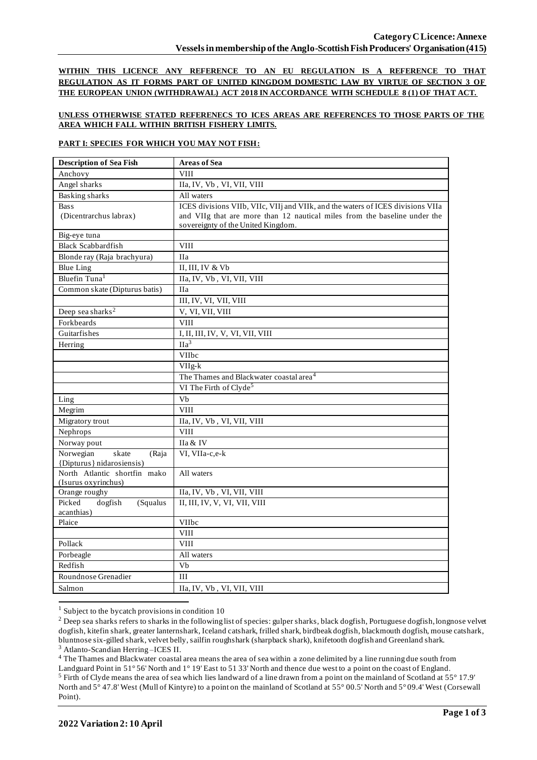**WITHIN THIS LICENCE ANY REFERENCE TO AN EU REGULATION IS A REFERENCE TO THAT REGULATION AS IT FORMS PART OF UNITED KINGDOM DOMESTIC LAW BY VIRTUE OF SECTION 3 OF THE EUROPEAN UNION (WITHDRAWAL) ACT 2018 IN ACCORDANCE WITH SCHEDULE 8 (1) OF THAT ACT.**

### **UNLESS OTHERWISE STATED REFERENECS TO ICES AREAS ARE REFERENCES TO THOSE PARTS OF THE AREA WHICH FALL WITHIN BRITISH FISHERY LIMITS.**

### **PART I: SPECIES FOR WHICH YOU MAY NOT FISH:**

| <b>Description of Sea Fish</b>              | <b>Areas of Sea</b>                                                             |
|---------------------------------------------|---------------------------------------------------------------------------------|
| Anchovy                                     | <b>VIII</b>                                                                     |
| Angel sharks                                | IIa, IV, Vb, VI, VII, VIII                                                      |
| <b>Basking sharks</b>                       | All waters                                                                      |
| <b>Bass</b>                                 | ICES divisions VIIb, VIIc, VIIj and VIIk, and the waters of ICES divisions VIIa |
| (Dicentrarchus labrax)                      | and VIIg that are more than 12 nautical miles from the baseline under the       |
|                                             | sovereignty of the United Kingdom.                                              |
| Big-eye tuna                                |                                                                                 |
| <b>Black Scabbardfish</b>                   | <b>VIII</b>                                                                     |
| Blonde ray (Raja brachyura)                 | <b>IIa</b>                                                                      |
| <b>Blue Ling</b>                            | II, III, IV & Vb                                                                |
| Bluefin Tuna <sup>1</sup>                   | IIa, IV, Vb, VI, VII, VIII                                                      |
| Common skate (Dipturus batis)               | <b>IIa</b>                                                                      |
|                                             | III, IV, VI, VII, VIII                                                          |
| Deep sea sharks <sup>2</sup>                | V, VI, VII, VIII                                                                |
| Forkbeards                                  | <b>VIII</b>                                                                     |
| Guitarfishes                                | I, II, III, IV, V, VI, VII, VIII                                                |
| Herring                                     | $\Pi a^3$                                                                       |
|                                             | <b>VIIbc</b>                                                                    |
|                                             | VIIg-k                                                                          |
|                                             | The Thames and Blackwater coastal area <sup>4</sup>                             |
|                                             | VI The Firth of Clyde <sup>5</sup>                                              |
| Ling                                        | Vb                                                                              |
| Megrim                                      | <b>VIII</b>                                                                     |
| Migratory trout                             | IIa, IV, Vb, VI, VII, VIII                                                      |
| Nephrops                                    | <b>VIII</b>                                                                     |
| Norway pout                                 | IIa & IV                                                                        |
| Norwegian<br>skate<br>(Raja                 | VI, VIIa-c,e-k                                                                  |
| {Dipturus} nidarosiensis}                   |                                                                                 |
| North Atlantic shortfin mako                | All waters                                                                      |
| (Isurus oxyrinchus)                         |                                                                                 |
| Orange roughy                               | IIa, IV, Vb, VI, VII, VIII                                                      |
| Picked<br>dogfish<br>(Squalus<br>acanthias) | II, III, IV, V, VI, VII, VIII                                                   |
| Plaice                                      | VIIbc                                                                           |
|                                             | <b>VIII</b>                                                                     |
| Pollack                                     | <b>VIII</b>                                                                     |
| Porbeagle                                   | All waters                                                                      |
| Redfish                                     | Vb                                                                              |
| Roundnose Grenadier                         | III                                                                             |
|                                             |                                                                                 |
| Salmon                                      | IIa, IV, Vb, VI, VII, VIII                                                      |

 $1$  Subject to the bycatch provisions in condition 10

<sup>4</sup> The Thames and Blackwater coastal area means the area of sea within a zone delimited by a line running due south from

<sup>&</sup>lt;sup>2</sup> Deep sea sharks refers to sharks in the following list of species: gulper sharks, black dogfish, Portuguese dogfish, longnose velvet dogfish, kitefin shark, greater lanternshark, Iceland catshark, frilled shark, birdbeak dogfish, blackmouth dogfish, mouse catshark, bluntnose six-gilled shark, velvet belly, sailfin roughshark (sharpback shark), knifetooth dogfish and Greenland shark. <sup>3</sup> Atlanto-Scandian Herring –ICES II.

Landguard Point in 51° 56' North and 1° 19' East to 51 33' North and thence due west to a point on the coast of England. <sup>5</sup> Firth of Clyde means the area of sea which lies landward of a line drawn from a point on the mainland of Scotland at 55° 17.9' North and 5° 47.8' West (Mull of Kintyre) to a point on the mainland of Scotland at 55° 00.5' North and 5° 09.4' West (Corsewall Point).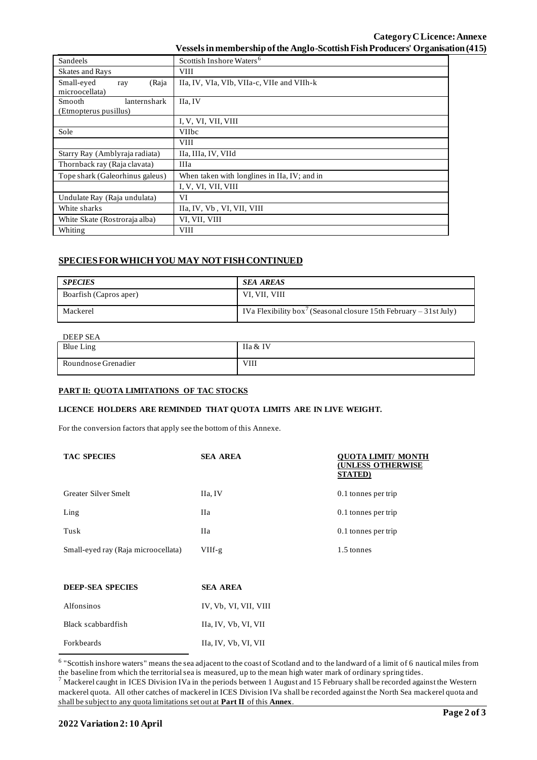# **Category CLicence: Annexe Vessels in membership of the Anglo-ScottishFish Producers' Organisation (415)**

| Sandeels                        | Scottish Inshore Waters <sup>6</sup>         |  |
|---------------------------------|----------------------------------------------|--|
| <b>Skates and Rays</b>          | <b>VIII</b>                                  |  |
| Small-eyed<br>(Raja<br>ray      | IIa, IV, VIa, VIb, VIIa-c, VIIe and VIIh-k   |  |
| microocellata)                  |                                              |  |
| Smooth<br>lanternshark          | IIa. IV                                      |  |
| (Etmopterus pusillus)           |                                              |  |
|                                 | I, V, VI, VII, VIII                          |  |
| Sole                            | <b>VIIbc</b>                                 |  |
|                                 | <b>VIII</b>                                  |  |
| Starry Ray (Amblyraja radiata)  | IIa, IIIa, IV, VIId                          |  |
| Thornback ray (Raja clavata)    | <b>IIIa</b>                                  |  |
| Tope shark (Galeorhinus galeus) | When taken with longlines in IIa, IV; and in |  |
|                                 | I, V, VI, VII, VIII                          |  |
| Undulate Ray (Raja undulata)    | VI                                           |  |
| White sharks                    | IIa, IV, Vb, VI, VII, VIII                   |  |
| White Skate (Rostroraja alba)   | VI, VII, VIII                                |  |
| Whiting                         | <b>VIII</b>                                  |  |

# **SPECIES FOR WHICH YOU MAY NOT FISH CONTINUED**

| <b>SPECIES</b>         | <b>SEA AREAS</b>                                                              |
|------------------------|-------------------------------------------------------------------------------|
| Boarfish (Capros aper) | VI, VII, VIII                                                                 |
| Mackerel               | IVa Flexibility box <sup>7</sup> (Seasonal closure 15th February – 31st July) |

#### DEEP SEA

| <b>DEEL SEA</b>     |             |
|---------------------|-------------|
| <b>Blue Ling</b>    | IIa & IV    |
| Roundnose Grenadier | <b>VIII</b> |

#### **PART II: QUOTA LIMITATIONS OF TAC STOCKS**

## **LICENCE HOLDERS ARE REMINDED THAT QUOTA LIMITS ARE IN LIVE WEIGHT.**

For the conversion factors that apply see the bottom of this Annexe.

| <b>TAC SPECIES</b>                  | <b>SEA AREA</b> | OUOTA LIMIT/ MONTH<br><b>(UNLESS OTHERWISE</b><br><b>STATED</b> ) |
|-------------------------------------|-----------------|-------------------------------------------------------------------|
| <b>Greater Silver Smelt</b>         | IIa, IV         | 0.1 tonnes per trip                                               |
| $L$ ing                             | Ha              | 0.1 tonnes per trip                                               |
| Tusk                                | Пa              | 0.1 tonnes per trip                                               |
| Small-eyed ray (Raja microocellata) | $VIIf-g$        | 1.5 tonnes                                                        |

| DEEP-SEA SPECIES   | <b>SEA AREA</b>       |
|--------------------|-----------------------|
| Alfonsinos         | IV, Vb, VI, VII, VIII |
| Black scabbardfish | Ha, IV, Vb, VI, VII   |
| Forkbeards         | Ha, IV, Vb, VI, VII   |

<sup>&</sup>lt;sup>6</sup> "Scottish inshore waters" means the sea adjacent to the coast of Scotland and to the landward of a limit of 6 nautical miles from the baseline from which the territorial sea is measured, up to the mean high water mark of ordinary spring tides.

 $^7$  Mackerel caught in ICES Division IVa in the periods between 1 August and 15 February shall be recorded against the Western mackerel quota. All other catches of mackerel in ICES Division IVa shall be recorded against the North Sea mackerel quota and shall be subject to any quota limitations set out at **Part II** of this **Annex**.